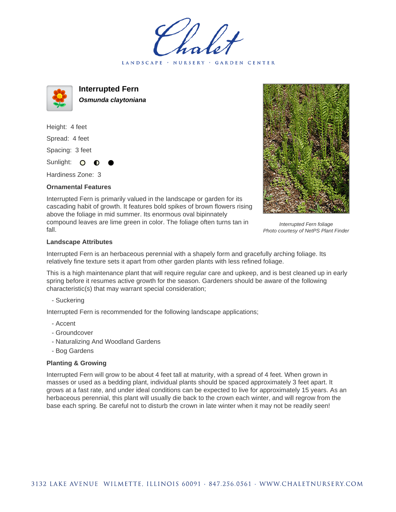LANDSCAPE · NURSERY · GARDEN CENTER



**Interrupted Fern Osmunda claytoniana**

Height: 4 feet Spread: 4 feet Spacing: 3 feet Sunlight: O O

Hardiness Zone: 3

## **Ornamental Features**



Interrupted Fern foliage Photo courtesy of NetPS Plant Finder

cascading habit of growth. It features bold spikes of brown flowers rising above the foliage in mid summer. Its enormous oval bipinnately compound leaves are lime green in color. The foliage often turns tan in fall.

Interrupted Fern is primarily valued in the landscape or garden for its

## **Landscape Attributes**

Interrupted Fern is an herbaceous perennial with a shapely form and gracefully arching foliage. Its relatively fine texture sets it apart from other garden plants with less refined foliage.

This is a high maintenance plant that will require regular care and upkeep, and is best cleaned up in early spring before it resumes active growth for the season. Gardeners should be aware of the following characteristic(s) that may warrant special consideration;

- Suckering

Interrupted Fern is recommended for the following landscape applications;

- Accent
- Groundcover
- Naturalizing And Woodland Gardens
- Bog Gardens

## **Planting & Growing**

Interrupted Fern will grow to be about 4 feet tall at maturity, with a spread of 4 feet. When grown in masses or used as a bedding plant, individual plants should be spaced approximately 3 feet apart. It grows at a fast rate, and under ideal conditions can be expected to live for approximately 15 years. As an herbaceous perennial, this plant will usually die back to the crown each winter, and will regrow from the base each spring. Be careful not to disturb the crown in late winter when it may not be readily seen!